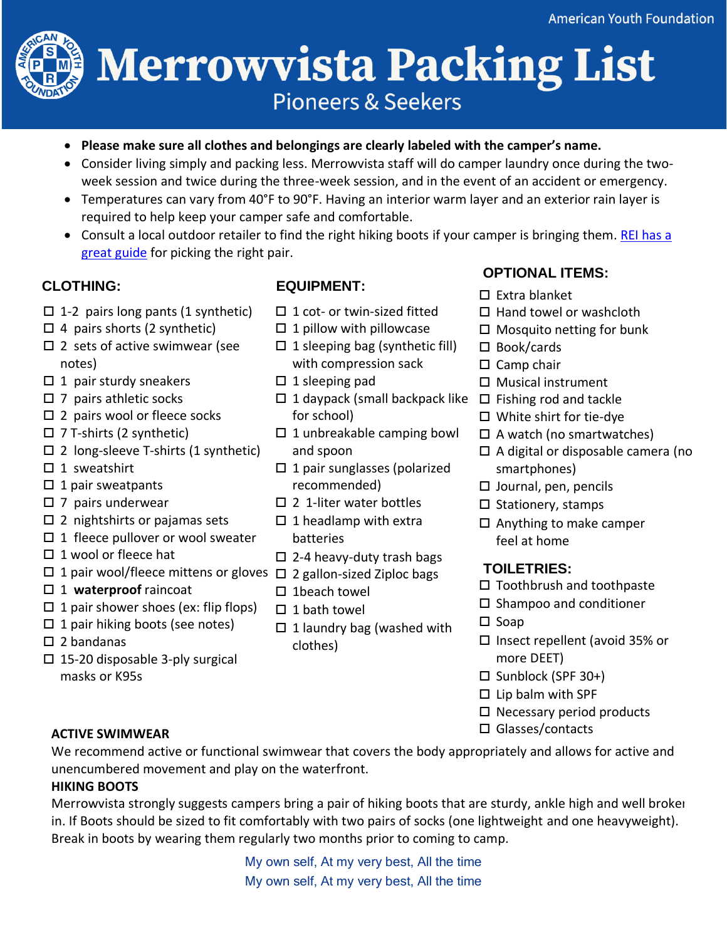# **Merrowvista Packing List Pioneers & Seekers**

- **Please make sure all clothes and belongings are clearly labeled with the camper's name.**
- Consider living simply and packing less. Merrowvista staff will do camper laundry once during the twoweek session and twice during the three-week session, and in the event of an accident or emergency.
- Temperatures can vary from 40°F to 90°F. Having an interior warm layer and an exterior rain layer is required to help keep your camper safe and comfortable.
- Consult a local outdoor retailer to find the right hiking boots if your camper is bringing them. REI has a [great guide](https://www.rei.com/learn/expert-advice/hiking-boots.html) for picking the right pair.

- $\Box$  1-2 pairs long pants (1 synthetic)
- $\Box$  4 pairs shorts (2 synthetic)
- $\square$  2 sets of active swimwear (see notes)
- $\Box$  1 pair sturdy sneakers
- $\square$  7 pairs athletic socks
- $\square$  2 pairs wool or fleece socks
- $\square$  7 T-shirts (2 synthetic)
- $\square$  2 long-sleeve T-shirts (1 synthetic)
- $\square$  1 sweatshirt
- $\Box$  1 pair sweatpants
- $\square$  7 pairs underwear
- $\square$  2 nightshirts or pajamas sets
- $\Box$  1 fleece pullover or wool sweater
- $\square$  1 wool or fleece hat
- □ 1 pair wool/fleece mittens or gloves □ 2 gallon-sized Ziploc bags
- □ 1 waterproof raincoat
- $\Box$  1 pair shower shoes (ex: flip flops)
- $\Box$  1 pair hiking boots (see notes)
- $\square$  2 bandanas
- $\square$  15-20 disposable 3-ply surgical masks or K95s

# **CLOTHING: EQUIPMENT:**

- $\Box$  1 cot- or twin-sized fitted
- $\Box$  1 pillow with pillowcase
- $\Box$  1 sleeping bag (synthetic fill) with compression sack
- $\Box$  1 sleeping pad
- $\Box$  1 daypack (small backpack like  $\Box$  Fishing rod and tackle for school)
- $\square$  1 unbreakable camping bowl and spoon
- $\Box$  1 pair sunglasses (polarized recommended)
- $\square$  2 1-liter water bottles
- $\Box$  1 headlamp with extra batteries
- $\Box$  2-4 heavy-duty trash bags
- 
- $\square$  1 beach towel
- $\square$  1 bath towel
- $\Box$  1 laundry bag (washed with clothes)

# **OPTIONAL ITEMS:**

- $\square$  Extra blanket
- $\Box$  Hand towel or washcloth
- □ Mosquito netting for bunk
- □ Book/cards
- $\square$  Camp chair
- $\square$  Musical instrument
- 
- White shirt for tie-dye
- $\Box$  A watch (no smartwatches)
- $\Box$  A digital or disposable camera (no smartphones)
- $\square$  Journal, pen, pencils
- $\square$  Stationery, stamps
- $\Box$  Anything to make camper feel at home

## **TOILETRIES:**

- $\square$  Toothbrush and toothpaste
- $\square$  Shampoo and conditioner
- $\square$  Soap
- □ Insect repellent (avoid 35% or more DEET)
- $\Box$  Sunblock (SPF 30+)
- $\square$  Lip balm with SPF
- $\square$  Necessary period products
- □ Glasses/contacts

### **ACTIVE SWIMWEAR**

We recommend active or functional swimwear that covers the body appropriately and allows for active and unencumbered movement and play on the waterfront.

### **HIKING BOOTS**

Merrowvista strongly suggests campers bring a pair of hiking boots that are sturdy, ankle high and well brokenin. If Boots should be sized to fit comfortably with two pairs of socks (one lightweight and one heavyweight). Break in boots by wearing them regularly two months prior to coming to camp.

> My own self, At my very best, All the time My own self, At my very best, All the time